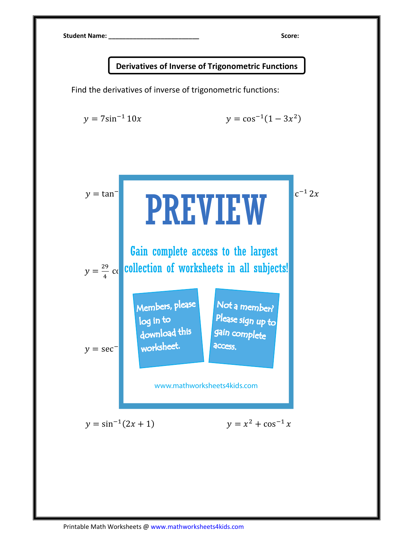